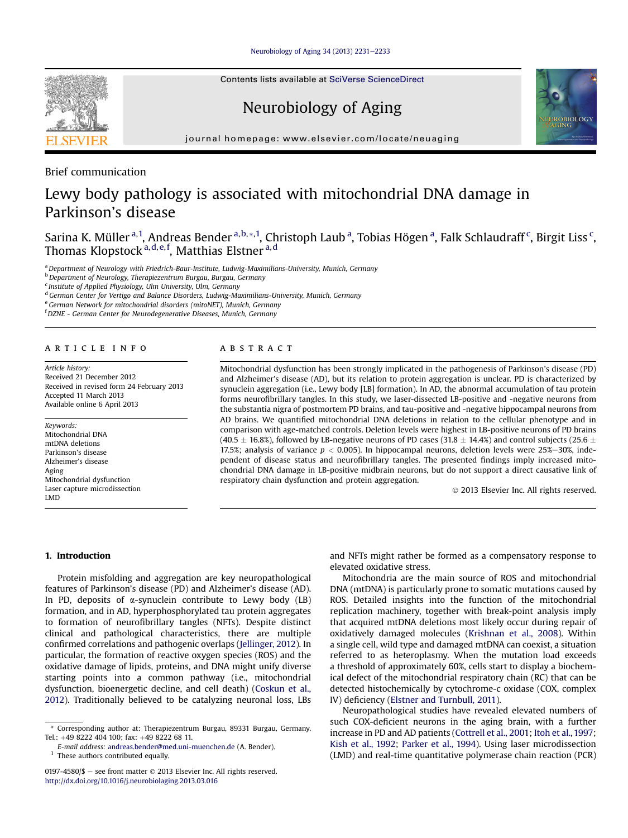[Neurobiology of Aging 34 \(2013\) 2231](http://dx.doi.org/10.1016/j.neurobiolaging.2013.03.016)-[2233](http://dx.doi.org/10.1016/j.neurobiolaging.2013.03.016)

Contents lists available at SciVerse ScienceDirect

# Neurobiology of Aging



Brief communication

# Lewy body pathology is associated with mitochondrial DNA damage in Parkinson's disease

Sarina K. Müller <sup>a, 1</sup>, Andreas Bender <sup>a, b, \*, 1</sup>, Christoph Laub <sup>a</sup>, Tobias Högen <sup>a</sup>, Falk Schlaudraff <sup>c</sup>, Birgit Liss <sup>c</sup>, Thomas Klopstock <sup>a, d, e, f</sup>, Matthias Elstner <sup>a, d</sup>

a Department of Neurology with Friedrich-Baur-Institute, Ludwig-Maximilians-University, Munich, Germany

<sup>b</sup> Department of Neurology, Therapiezentrum Burgau, Burgau, Germany

 $c$  Institute of Applied Physiology, Ulm University, Ulm, Germany

<sup>d</sup> German Center for Vertigo and Balance Disorders, Ludwig-Maximilians-University, Munich, Germany

<sup>e</sup> German Network for mitochondrial disorders (mitoNET), Munich, Germany

<sup>f</sup> DZNE - German Center for Neurodegenerative Diseases, Munich, Germany

# article info

Article history: Received 21 December 2012 Received in revised form 24 February 2013 Accepted 11 March 2013 Available online 6 April 2013

Keywords: Mitochondrial DNA mtDNA deletions Parkinson's disease Alzheimer's disease Aging Mitochondrial dysfunction Laser capture microdissection LMD

# ABSTRACT

Mitochondrial dysfunction has been strongly implicated in the pathogenesis of Parkinson's disease (PD) and Alzheimer's disease (AD), but its relation to protein aggregation is unclear. PD is characterized by synuclein aggregation (i.e., Lewy body [LB] formation). In AD, the abnormal accumulation of tau protein forms neurofibrillary tangles. In this study, we laser-dissected LB-positive and -negative neurons from the substantia nigra of postmortem PD brains, and tau-positive and -negative hippocampal neurons from AD brains. We quantified mitochondrial DNA deletions in relation to the cellular phenotype and in comparison with age-matched controls. Deletion levels were highest in LB-positive neurons of PD brains (40.5  $\pm$  16.8%), followed by LB-negative neurons of PD cases (31.8  $\pm$  14.4%) and control subjects (25.6  $\pm$ 17.5%; analysis of variance  $p < 0.005$ ). In hippocampal neurons, deletion levels were 25%–30%, independent of disease status and neurofibrillary tangles. The presented findings imply increased mitochondrial DNA damage in LB-positive midbrain neurons, but do not support a direct causative link of respiratory chain dysfunction and protein aggregation.

2013 Elsevier Inc. All rights reserved.

# 1. Introduction

Protein misfolding and aggregation are key neuropathological features of Parkinson's disease (PD) and Alzheimer's disease (AD). In PD, deposits of  $\alpha$ -synuclein contribute to Lewy body (LB) formation, and in AD, hyperphosphorylated tau protein aggregates to formation of neurofibrillary tangles (NFTs). Despite distinct clinical and pathological characteristics, there are multiple confirmed correlations and pathogenic overlaps ([Jellinger, 2012\)](#page-2-0). In particular, the formation of reactive oxygen species (ROS) and the oxidative damage of lipids, proteins, and DNA might unify diverse starting points into a common pathway (i.e., mitochondrial dysfunction, bioenergetic decline, and cell death) [\(Coskun et al.,](#page-2-0) [2012\)](#page-2-0). Traditionally believed to be catalyzing neuronal loss, LBs

 $1$  These authors contributed equally.

and NFTs might rather be formed as a compensatory response to elevated oxidative stress.

Mitochondria are the main source of ROS and mitochondrial DNA (mtDNA) is particularly prone to somatic mutations caused by ROS. Detailed insights into the function of the mitochondrial replication machinery, together with break-point analysis imply that acquired mtDNA deletions most likely occur during repair of oxidatively damaged molecules [\(Krishnan et al., 2008\)](#page-2-0). Within a single cell, wild type and damaged mtDNA can coexist, a situation referred to as heteroplasmy. When the mutation load exceeds a threshold of approximately 60%, cells start to display a biochemical defect of the mitochondrial respiratory chain (RC) that can be detected histochemically by cytochrome-c oxidase (COX, complex IV) deficiency [\(Elstner and Turnbull, 2011](#page-2-0)).

Neuropathological studies have revealed elevated numbers of such COX-deficient neurons in the aging brain, with a further increase in PD and AD patients ([Cottrell et al., 2001;](#page-2-0) [Itoh et al., 1997](#page-2-0); [Kish et al., 1992](#page-2-0); [Parker et al., 1994](#page-2-0)). Using laser microdissection (LMD) and real-time quantitative polymerase chain reaction (PCR)





<sup>\*</sup> Corresponding author at: Therapiezentrum Burgau, 89331 Burgau, Germany. Tel.: +49 8222 404 100; fax: +49 8222 68 11.

E-mail address: [andreas.bender@med.uni-muenchen.de](mailto:andreas.bender@med.uni-muenchen.de) (A. Bender).

<sup>0197-4580/\$</sup>  $-$  see front matter  $\odot$  2013 Elsevier Inc. All rights reserved. <http://dx.doi.org/10.1016/j.neurobiolaging.2013.03.016>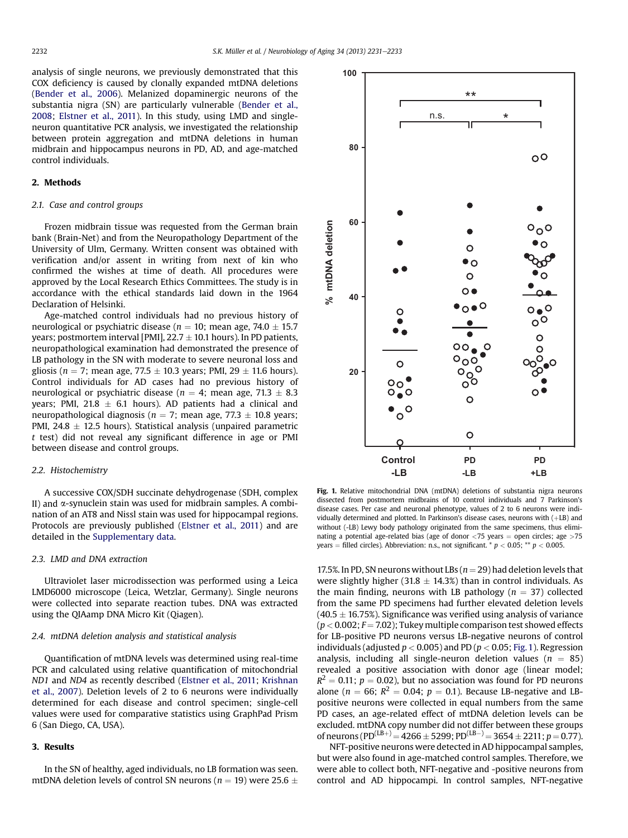analysis of single neurons, we previously demonstrated that this COX deficiency is caused by clonally expanded mtDNA deletions [\(Bender et al., 2006](#page-2-0)). Melanized dopaminergic neurons of the substantia nigra (SN) are particularly vulnerable ([Bender et al.,](#page-2-0) [2008](#page-2-0); [Elstner et al., 2011](#page-2-0)). In this study, using LMD and singleneuron quantitative PCR analysis, we investigated the relationship between protein aggregation and mtDNA deletions in human midbrain and hippocampus neurons in PD, AD, and age-matched control individuals.

## 2. Methods

# 2.1. Case and control groups

Frozen midbrain tissue was requested from the German brain bank (Brain-Net) and from the Neuropathology Department of the University of Ulm, Germany. Written consent was obtained with verification and/or assent in writing from next of kin who confirmed the wishes at time of death. All procedures were approved by the Local Research Ethics Committees. The study is in accordance with the ethical standards laid down in the 1964 Declaration of Helsinki.

Age-matched control individuals had no previous history of neurological or psychiatric disease ( $n = 10$ ; mean age, 74.0  $\pm$  15.7 years; postmortem interval [PMI],  $22.7 \pm 10.1$  hours). In PD patients, neuropathological examination had demonstrated the presence of LB pathology in the SN with moderate to severe neuronal loss and gliosis ( $n = 7$ ; mean age, 77.5  $\pm$  10.3 years; PMI, 29  $\pm$  11.6 hours). Control individuals for AD cases had no previous history of neurological or psychiatric disease ( $n = 4$ ; mean age, 71.3  $\pm$  8.3 years; PMI, 21.8  $\pm$  6.1 hours). AD patients had a clinical and neuropathological diagnosis ( $n = 7$ ; mean age, 77.3  $\pm$  10.8 years; PMI,  $24.8 \pm 12.5$  hours). Statistical analysis (unpaired parametric t test) did not reveal any significant difference in age or PMI between disease and control groups.

## 2.2. Histochemistry

A successive COX/SDH succinate dehydrogenase (SDH, complex II) and  $\alpha$ -synuclein stain was used for midbrain samples. A combination of an AT8 and Nissl stain was used for hippocampal regions. Protocols are previously published ([Elstner et al., 2011](#page-2-0)) and are detailed in the Supplementary data.

# 2.3. LMD and DNA extraction

Ultraviolet laser microdissection was performed using a Leica LMD6000 microscope (Leica, Wetzlar, Germany). Single neurons were collected into separate reaction tubes. DNA was extracted using the QIAamp DNA Micro Kit (Qiagen).

## 2.4. mtDNA deletion analysis and statistical analysis

Quantification of mtDNA levels was determined using real-time PCR and calculated using relative quantification of mitochondrial ND1 and ND4 as recently described ([Elstner et al., 2011](#page-2-0); [Krishnan](#page-2-0) [et al., 2007\)](#page-2-0). Deletion levels of 2 to 6 neurons were individually determined for each disease and control specimen; single-cell values were used for comparative statistics using GraphPad Prism 6 (San Diego, CA, USA).

## 3. Results

In the SN of healthy, aged individuals, no LB formation was seen. mtDNA deletion levels of control SN neurons ( $n = 19$ ) were 25.6  $\pm$ 



Fig. 1. Relative mitochondrial DNA (mtDNA) deletions of substantia nigra neurons dissected from postmortem midbrains of 10 control individuals and 7 Parkinson's disease cases. Per case and neuronal phenotype, values of 2 to 6 neurons were individually determined and plotted. In Parkinson's disease cases, neurons with  $(+LB)$  and without (-LB) Lewy body pathology originated from the same specimens, thus eliminating a potential age-related bias (age of donor  $<$ 75 years = open circles; age  $>$ 75 years = filled circles). Abbreviation: n.s., not significant.  $*$   $p$  < 0.05;  $*$   $*$   $p$  < 0.005.

17.5%. In PD, SN neurons without LBs ( $n = 29$ ) had deletion levels that were slightly higher (31.8  $\pm$  14.3%) than in control individuals. As the main finding, neurons with LB pathology ( $n = 37$ ) collected from the same PD specimens had further elevated deletion levels  $(40.5 \pm 16.75%)$ . Significance was verified using analysis of variance  $(p < 0.002; F = 7.02)$ ; Tukey multiple comparison test showed effects for LB-positive PD neurons versus LB-negative neurons of control individuals (adjusted  $p < 0.005$ ) and PD ( $p < 0.05$ ; Fig. 1). Regression analysis, including all single-neuron deletion values ( $n = 85$ ) revealed a positive association with donor age (linear model;  $R^2 = 0.11$ ;  $p = 0.02$ ), but no association was found for PD neurons alone ( $n = 66$ ;  $R^2 = 0.04$ ;  $p = 0.1$ ). Because LB-negative and LBpositive neurons were collected in equal numbers from the same PD cases, an age-related effect of mtDNA deletion levels can be excluded. mtDNA copy number did not differ between these groups of neurons (PD<sup>(LB+)</sup> = 4266 ± 5299; PD<sup>(LB-)</sup> = 3654 ± 2211; p = 0.77).

NFT-positive neurons were detected in AD hippocampal samples, but were also found in age-matched control samples. Therefore, we were able to collect both, NFT-negative and -positive neurons from control and AD hippocampi. In control samples, NFT-negative